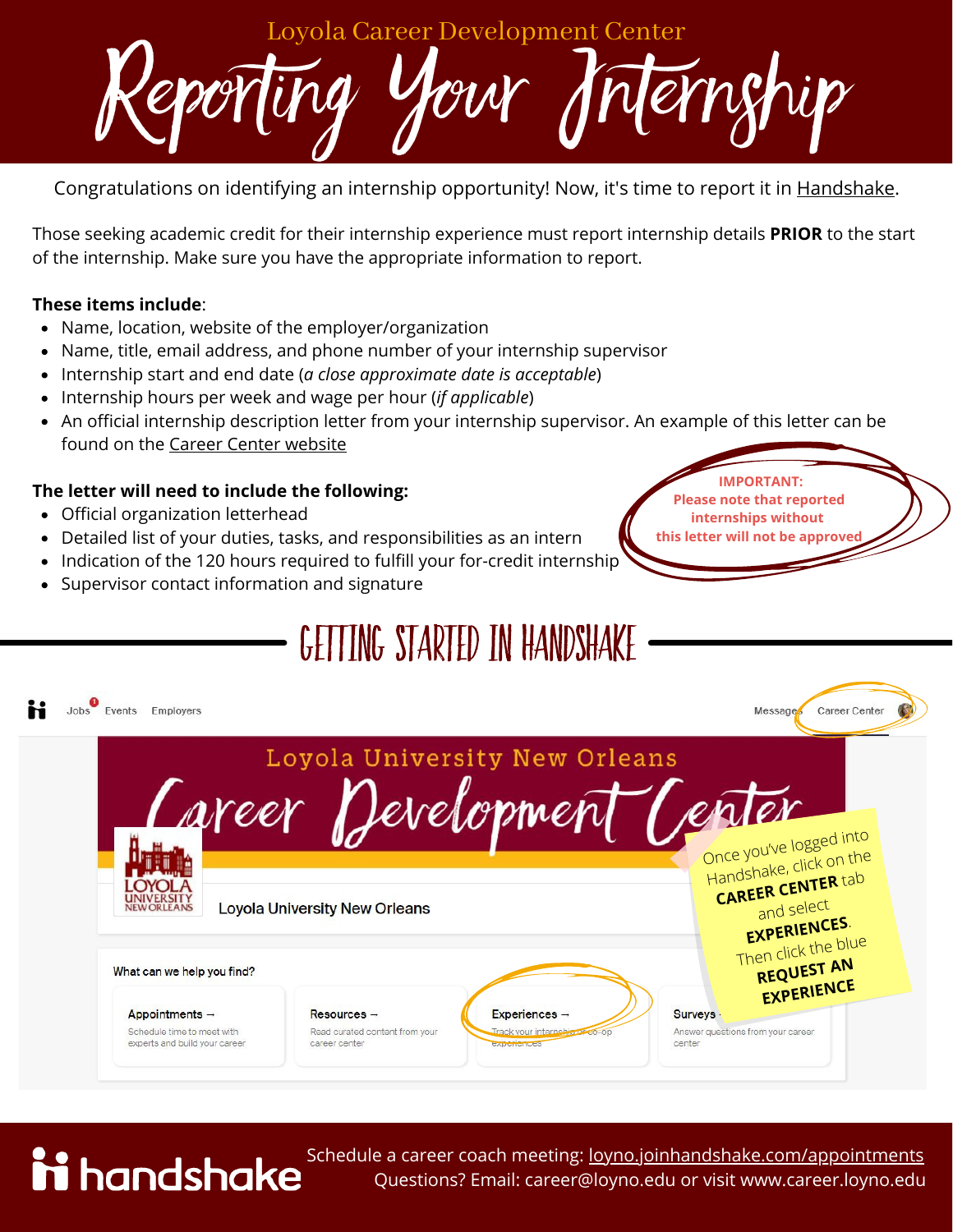nempip Loyola Career Development Center

Congratulations on identifying an internship opportunity! Now, it's time to report it in [Handshake](https://loyno.joinhandshake.com/).

Those seeking academic credit for their internship experience must report internship details **PRIOR** to the start of the internship. Make sure you have the appropriate information to report.

## **These items include**:

- Name, location, website of the employer/organization
- Name, title, email address, and phone number of your internship supervisor
- Internship start and end date (*a close approximate date is acceptable*)
- Internship hours per week and wage per hour (*if applicable*)
- An official internship description letter from your internship supervisor. An example of this letter can be found on the Career Center [website](https://career.loyno.edu/internships/academic-credit-internships)

## **The letter will need to include the following:**

Official organization letterhead

ii handshake

- Detailed list of your duties, tasks, and responsibilities as an intern
- Indication of the 120 hours required to fulfill your for-credit internship
- Supervisor contact information and signature

## Getting started in Handshake





Schedule a career coach meeting: [loyno.joinhandshake.com/appointments](http://loyno.joinhandshake.com/appointments) Questions? Email: career@loyno.edu or visit www.career.loyno.edu